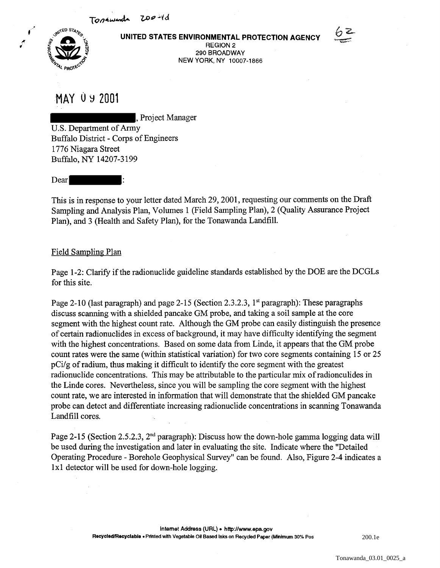Tophwards 200-yd



**UNITED STATES ENVIRONMENTAL PROTECTION AGENCY** 



REGION 2 290 BROADWAY NEW YORK, NY 10007-1866

**MAY 0** ~ **Z001** 

, Project Manager

U.S. Department of Army Buffalo District - Corps of Engineers 1776 Niagara Street Buffalo, NY 14207-3199

Dear

This is in response to your letter dated March 29,2001, requesting our comments on the Draft Sampling and Analysis Plan, Volumes 1 (Field Sampling Plan), 2 (Quality Assurance Project Plan), and 3 (Health and Safety Plan), for the Tonawanda Landfill.

## Field Sampling Plan

Page 1-2: Clarify if the radionuclide guideline standards established by the DOE are the DCGLs for this site.

Page 2-10 (last paragraph) and page 2-15 (Section 2.3.2.3, 1<sup>st</sup> paragraph): These paragraphs discuss scanning with a shielded pancake GM probe, and taking a soil sample at the core segment with the highest count rate. Although the GM probe can easily distinguish the presence of certain radionuclides in excess of background, it may have difficulty identifying the segment with the highest concentrations. Based on some data from Linde, it appears that the GM probe count rates were the same (within statistical variation) for two core segments containing 15 or 25 pCi/g of radium, thus making it difficult to identify the core segment with the greatest radionuclide concentrations. This may be attributable to the particular mix of radionculides in the Linde cores. Nevertheless, since you will be sampling the core segment with the highest count rate, we are interested in information that will demonstrate that the shielded GM pancake probe can detect and differentiate increasing radionuclide concentrations in scanning Tonawanda Landfill cores.

Page 2-15 (Section 2.5.2.3, 2<sup>nd</sup> paragraph): Discuss how the down-hole gamma logging data will be used during the investigation and later in evaluating the site. Indicate where the "Detailed Operating Procedure - Borehole Geophysical Survey" can be found. Also, Figure 2-4 indicates a 1x1 detector will be used for down-hole logging.